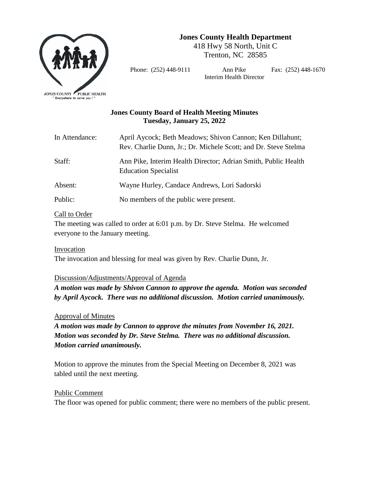

**Jones County Health Department**

418 Hwy 58 North, Unit C Trenton, NC 28585

Phone: (252) 448-9111 Ann Pike Fax: (252) 448-1670 Interim Health Director

# **Jones County Board of Health Meeting Minutes Tuesday, January 25, 2022**

| In Attendance: | April Aycock; Beth Meadows; Shivon Cannon; Ken Dillahunt;<br>Rev. Charlie Dunn, Jr.; Dr. Michele Scott; and Dr. Steve Stelma |
|----------------|------------------------------------------------------------------------------------------------------------------------------|
| Staff:         | Ann Pike, Interim Health Director; Adrian Smith, Public Health<br><b>Education Specialist</b>                                |
| Absent:        | Wayne Hurley, Candace Andrews, Lori Sadorski                                                                                 |
| Public:        | No members of the public were present.                                                                                       |

## Call to Order

The meeting was called to order at 6:01 p.m. by Dr. Steve Stelma. He welcomed everyone to the January meeting.

## Invocation

The invocation and blessing for meal was given by Rev. Charlie Dunn, Jr.

## Discussion/Adjustments/Approval of Agenda

*A motion was made by Shivon Cannon to approve the agenda. Motion was seconded by April Aycock. There was no additional discussion. Motion carried unanimously.* 

Approval of Minutes

*A motion was made by Cannon to approve the minutes from November 16, 2021. Motion was seconded by Dr. Steve Stelma. There was no additional discussion. Motion carried unanimously.* 

Motion to approve the minutes from the Special Meeting on December 8, 2021 was tabled until the next meeting.

## Public Comment

The floor was opened for public comment; there were no members of the public present.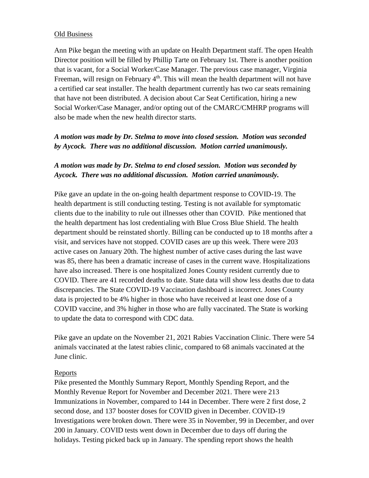### Old Business

Ann Pike began the meeting with an update on Health Department staff. The open Health Director position will be filled by Phillip Tarte on February 1st. There is another position that is vacant, for a Social Worker/Case Manager. The previous case manager, Virginia Freeman, will resign on February  $4<sup>th</sup>$ . This will mean the health department will not have a certified car seat installer. The health department currently has two car seats remaining that have not been distributed. A decision about Car Seat Certification, hiring a new Social Worker/Case Manager, and/or opting out of the CMARC/CMHRP programs will also be made when the new health director starts.

# *A motion was made by Dr. Stelma to move into closed session. Motion was seconded by Aycock. There was no additional discussion. Motion carried unanimously.*

## *A motion was made by Dr. Stelma to end closed session. Motion was seconded by Aycock. There was no additional discussion. Motion carried unanimously.*

Pike gave an update in the on-going health department response to COVID-19. The health department is still conducting testing. Testing is not available for symptomatic clients due to the inability to rule out illnesses other than COVID. Pike mentioned that the health department has lost credentialing with Blue Cross Blue Shield. The health department should be reinstated shortly. Billing can be conducted up to 18 months after a visit, and services have not stopped. COVID cases are up this week. There were 203 active cases on January 20th. The highest number of active cases during the last wave was 85, there has been a dramatic increase of cases in the current wave. Hospitalizations have also increased. There is one hospitalized Jones County resident currently due to COVID. There are 41 recorded deaths to date. State data will show less deaths due to data discrepancies. The State COVID-19 Vaccination dashboard is incorrect. Jones County data is projected to be 4% higher in those who have received at least one dose of a COVID vaccine, and 3% higher in those who are fully vaccinated. The State is working to update the data to correspond with CDC data.

Pike gave an update on the November 21, 2021 Rabies Vaccination Clinic. There were 54 animals vaccinated at the latest rabies clinic, compared to 68 animals vaccinated at the June clinic.

### Reports

Pike presented the Monthly Summary Report, Monthly Spending Report, and the Monthly Revenue Report for November and December 2021. There were 213 Immunizations in November, compared to 144 in December. There were 2 first dose, 2 second dose, and 137 booster doses for COVID given in December. COVID-19 Investigations were broken down. There were 35 in November, 99 in December, and over 200 in January. COVID tests went down in December due to days off during the holidays. Testing picked back up in January. The spending report shows the health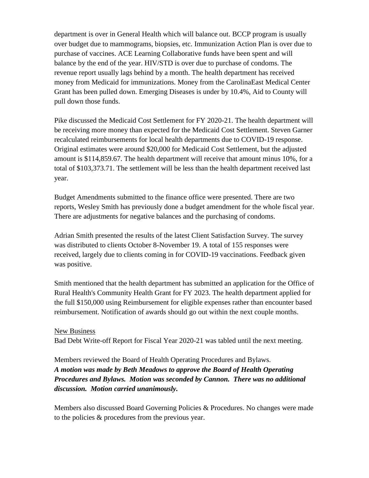department is over in General Health which will balance out. BCCP program is usually over budget due to mammograms, biopsies, etc. Immunization Action Plan is over due to purchase of vaccines. ACE Learning Collaborative funds have been spent and will balance by the end of the year. HIV/STD is over due to purchase of condoms. The revenue report usually lags behind by a month. The health department has received money from Medicaid for immunizations. Money from the CarolinaEast Medical Center Grant has been pulled down. Emerging Diseases is under by 10.4%, Aid to County will pull down those funds.

Pike discussed the Medicaid Cost Settlement for FY 2020-21. The health department will be receiving more money than expected for the Medicaid Cost Settlement. Steven Garner recalculated reimbursements for local health departments due to COVID-19 response. Original estimates were around \$20,000 for Medicaid Cost Settlement, but the adjusted amount is \$114,859.67. The health department will receive that amount minus 10%, for a total of \$103,373.71. The settlement will be less than the health department received last year.

Budget Amendments submitted to the finance office were presented. There are two reports, Wesley Smith has previously done a budget amendment for the whole fiscal year. There are adjustments for negative balances and the purchasing of condoms.

Adrian Smith presented the results of the latest Client Satisfaction Survey. The survey was distributed to clients October 8-November 19. A total of 155 responses were received, largely due to clients coming in for COVID-19 vaccinations. Feedback given was positive.

Smith mentioned that the health department has submitted an application for the Office of Rural Health's Community Health Grant for FY 2023. The health department applied for the full \$150,000 using Reimbursement for eligible expenses rather than encounter based reimbursement. Notification of awards should go out within the next couple months.

### New Business

Bad Debt Write-off Report for Fiscal Year 2020-21 was tabled until the next meeting.

Members reviewed the Board of Health Operating Procedures and Bylaws. *A motion was made by Beth Meadows to approve the Board of Health Operating Procedures and Bylaws. Motion was seconded by Cannon. There was no additional discussion. Motion carried unanimously.*

Members also discussed Board Governing Policies & Procedures. No changes were made to the policies & procedures from the previous year.